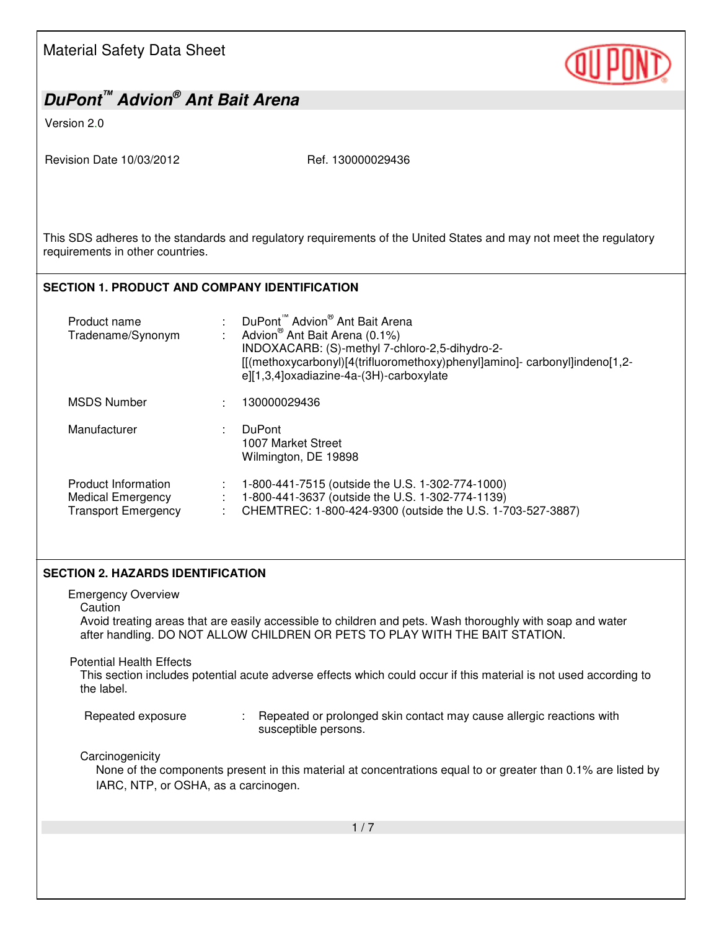| <b>Material Safety Data Sheet</b>                                                                                                                                        |                                                                                                                                                                                                                                                                               |  |
|--------------------------------------------------------------------------------------------------------------------------------------------------------------------------|-------------------------------------------------------------------------------------------------------------------------------------------------------------------------------------------------------------------------------------------------------------------------------|--|
| DuPont <sup>™</sup> Advion <sup>®</sup> Ant Bait Arena                                                                                                                   |                                                                                                                                                                                                                                                                               |  |
| Version 2.0                                                                                                                                                              |                                                                                                                                                                                                                                                                               |  |
| Revision Date 10/03/2012                                                                                                                                                 | Ref. 130000029436                                                                                                                                                                                                                                                             |  |
| This SDS adheres to the standards and regulatory requirements of the United States and may not meet the regulatory<br>requirements in other countries.                   |                                                                                                                                                                                                                                                                               |  |
| <b>SECTION 1. PRODUCT AND COMPANY IDENTIFICATION</b>                                                                                                                     |                                                                                                                                                                                                                                                                               |  |
| Product name<br>Tradename/Synonym                                                                                                                                        | DuPont <sup>™</sup> Advion <sup>®</sup> Ant Bait Arena<br>Advion <sup>®</sup> Ant Bait Arena (0.1%)<br>INDOXACARB: (S)-methyl 7-chloro-2,5-dihydro-2-<br>[[(methoxycarbonyl)[4(trifluoromethoxy)phenyl]amino]-carbonyl]indeno[1,2-<br>e][1,3,4]oxadiazine-4a-(3H)-carboxylate |  |
| <b>MSDS Number</b>                                                                                                                                                       | 130000029436                                                                                                                                                                                                                                                                  |  |
| Manufacturer                                                                                                                                                             | <b>DuPont</b><br>1007 Market Street<br>Wilmington, DE 19898                                                                                                                                                                                                                   |  |
| Product Information<br><b>Medical Emergency</b><br><b>Transport Emergency</b>                                                                                            | 1-800-441-7515 (outside the U.S. 1-302-774-1000)<br>1-800-441-3637 (outside the U.S. 1-302-774-1139)<br>CHEMTREC: 1-800-424-9300 (outside the U.S. 1-703-527-3887)                                                                                                            |  |
| <b>SECTION 2. HAZARDS IDENTIFICATION</b>                                                                                                                                 |                                                                                                                                                                                                                                                                               |  |
| <b>Emergency Overview</b><br>Caution<br><b>Potential Health Effects</b>                                                                                                  | Avoid treating areas that are easily accessible to children and pets. Wash thoroughly with soap and water<br>after handling. DO NOT ALLOW CHILDREN OR PETS TO PLAY WITH THE BAIT STATION.                                                                                     |  |
| the label.                                                                                                                                                               | This section includes potential acute adverse effects which could occur if this material is not used according to                                                                                                                                                             |  |
| Repeated exposure                                                                                                                                                        | Repeated or prolonged skin contact may cause allergic reactions with<br>susceptible persons.                                                                                                                                                                                  |  |
| Carcinogenicity<br>None of the components present in this material at concentrations equal to or greater than 0.1% are listed by<br>IARC, NTP, or OSHA, as a carcinogen. |                                                                                                                                                                                                                                                                               |  |
| 1/7                                                                                                                                                                      |                                                                                                                                                                                                                                                                               |  |
|                                                                                                                                                                          |                                                                                                                                                                                                                                                                               |  |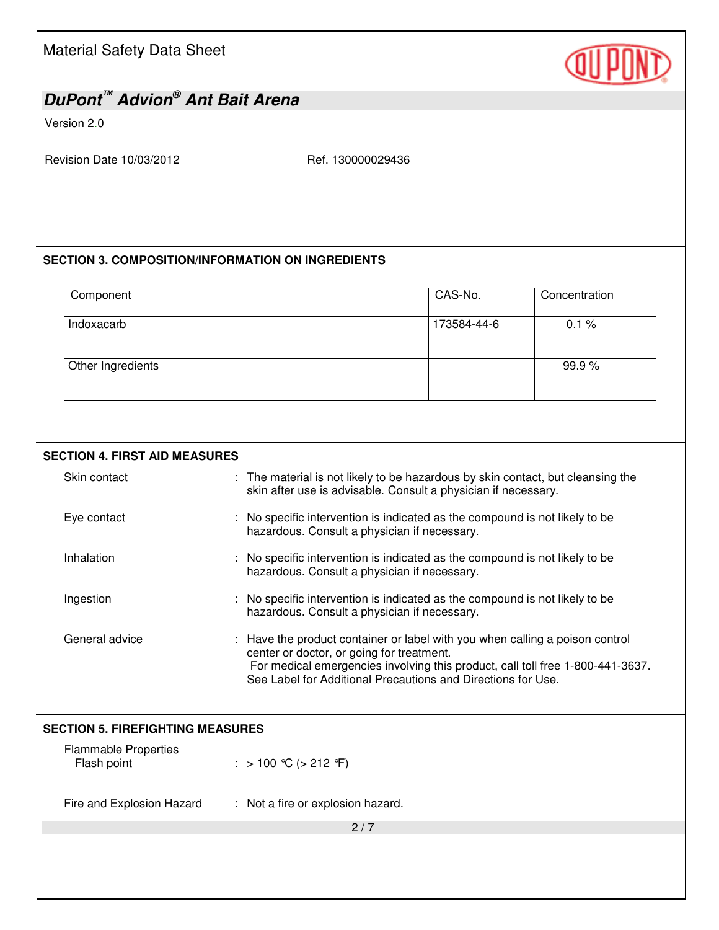# (OU |

### *DuPont™ Advion® Ant Bait Arena*

#### Version 2.0

Revision Date 10/03/2012 Ref. 130000029436

#### **SECTION 3. COMPOSITION/INFORMATION ON INGREDIENTS**

| Component         | CAS-No.     | Concentration |
|-------------------|-------------|---------------|
| Indoxacarb        | 173584-44-6 | 0.1%          |
| Other Ingredients |             | 99.9%         |

#### **SECTION 4. FIRST AID MEASURES**

| Skin contact                               | : The material is not likely to be hazardous by skin contact, but cleansing the<br>skin after use is advisable. Consult a physician if necessary.                                                                                                                           |  |
|--------------------------------------------|-----------------------------------------------------------------------------------------------------------------------------------------------------------------------------------------------------------------------------------------------------------------------------|--|
| Eye contact                                | No specific intervention is indicated as the compound is not likely to be<br>hazardous. Consult a physician if necessary.                                                                                                                                                   |  |
| Inhalation                                 | No specific intervention is indicated as the compound is not likely to be<br>hazardous. Consult a physician if necessary.                                                                                                                                                   |  |
| Ingestion                                  | No specific intervention is indicated as the compound is not likely to be<br>hazardous. Consult a physician if necessary.                                                                                                                                                   |  |
| General advice                             | : Have the product container or label with you when calling a poison control<br>center or doctor, or going for treatment.<br>For medical emergencies involving this product, call toll free 1-800-441-3637.<br>See Label for Additional Precautions and Directions for Use. |  |
| <b>SECTION 5. FIREFIGHTING MEASURES</b>    |                                                                                                                                                                                                                                                                             |  |
| <b>Flammable Properties</b><br>Flash point | : > 100 ℃ (> 212 °F)                                                                                                                                                                                                                                                        |  |
| Fire and Explosion Hazard                  | : Not a fire or explosion hazard.                                                                                                                                                                                                                                           |  |
|                                            | 2/7                                                                                                                                                                                                                                                                         |  |
|                                            |                                                                                                                                                                                                                                                                             |  |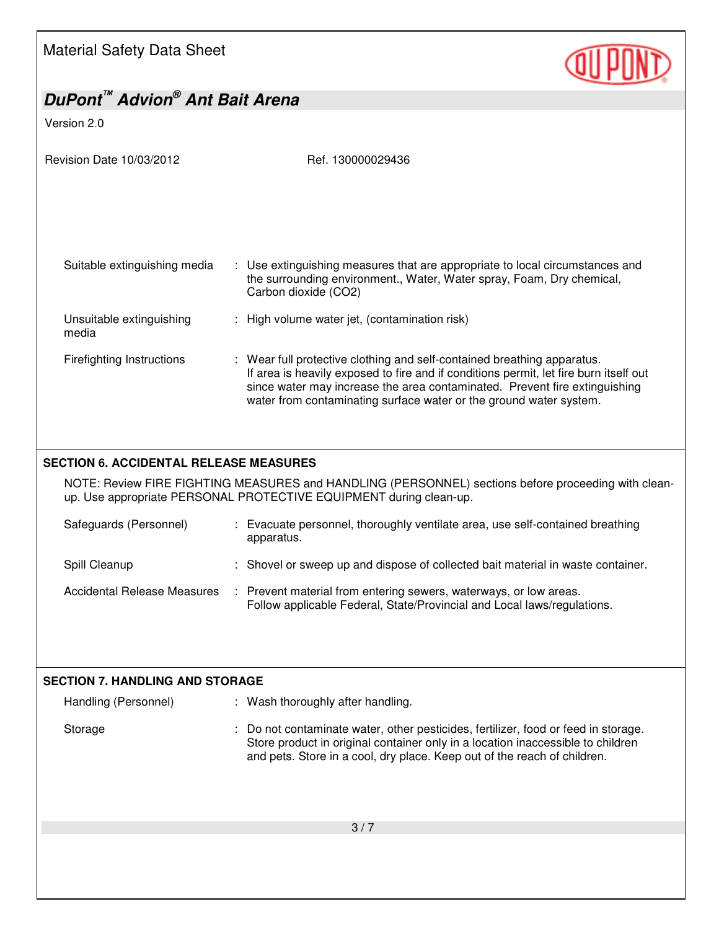Material Safety Data Sheet



| DuPont <sup>™</sup> Advion <sup>®</sup> Ant Bait Arena |                                                                                                                                                                           |
|--------------------------------------------------------|---------------------------------------------------------------------------------------------------------------------------------------------------------------------------|
| Version 2.0                                            |                                                                                                                                                                           |
|                                                        |                                                                                                                                                                           |
| Revision Date 10/03/2012                               | Ref. 130000029436                                                                                                                                                         |
|                                                        |                                                                                                                                                                           |
|                                                        |                                                                                                                                                                           |
|                                                        |                                                                                                                                                                           |
|                                                        |                                                                                                                                                                           |
|                                                        |                                                                                                                                                                           |
| Suitable extinguishing media                           | : Use extinguishing measures that are appropriate to local circumstances and                                                                                              |
|                                                        | the surrounding environment., Water, Water spray, Foam, Dry chemical,<br>Carbon dioxide (CO2)                                                                             |
|                                                        |                                                                                                                                                                           |
| Unsuitable extinguishing                               | : High volume water jet, (contamination risk)                                                                                                                             |
| media                                                  |                                                                                                                                                                           |
| <b>Firefighting Instructions</b>                       | : Wear full protective clothing and self-contained breathing apparatus.                                                                                                   |
|                                                        | If area is heavily exposed to fire and if conditions permit, let fire burn itself out<br>since water may increase the area contaminated. Prevent fire extinguishing       |
|                                                        | water from contaminating surface water or the ground water system.                                                                                                        |
|                                                        |                                                                                                                                                                           |
|                                                        |                                                                                                                                                                           |
|                                                        |                                                                                                                                                                           |
| <b>SECTION 6. ACCIDENTAL RELEASE MEASURES</b>          |                                                                                                                                                                           |
|                                                        | NOTE: Review FIRE FIGHTING MEASURES and HANDLING (PERSONNEL) sections before proceeding with clean-<br>up. Use appropriate PERSONAL PROTECTIVE EQUIPMENT during clean-up. |
|                                                        |                                                                                                                                                                           |
| Safeguards (Personnel)                                 | : Evacuate personnel, thoroughly ventilate area, use self-contained breathing                                                                                             |
|                                                        | apparatus.                                                                                                                                                                |
| Spill Cleanup                                          | : Shovel or sweep up and dispose of collected bait material in waste container.                                                                                           |
| <b>Accidental Release Measures</b>                     | : Prevent material from entering sewers, waterways, or low areas.                                                                                                         |
|                                                        | Follow applicable Federal, State/Provincial and Local laws/regulations.                                                                                                   |
|                                                        |                                                                                                                                                                           |
|                                                        |                                                                                                                                                                           |
|                                                        |                                                                                                                                                                           |
| <b>SECTION 7. HANDLING AND STORAGE</b>                 |                                                                                                                                                                           |
| Handling (Personnel)                                   | : Wash thoroughly after handling.                                                                                                                                         |
|                                                        |                                                                                                                                                                           |
| Storage                                                | Do not contaminate water, other pesticides, fertilizer, food or feed in storage.<br>Store product in original container only in a location inaccessible to children       |
|                                                        | and pets. Store in a cool, dry place. Keep out of the reach of children.                                                                                                  |
|                                                        |                                                                                                                                                                           |
|                                                        |                                                                                                                                                                           |
|                                                        |                                                                                                                                                                           |
|                                                        | 3/7                                                                                                                                                                       |
|                                                        |                                                                                                                                                                           |
|                                                        |                                                                                                                                                                           |
|                                                        |                                                                                                                                                                           |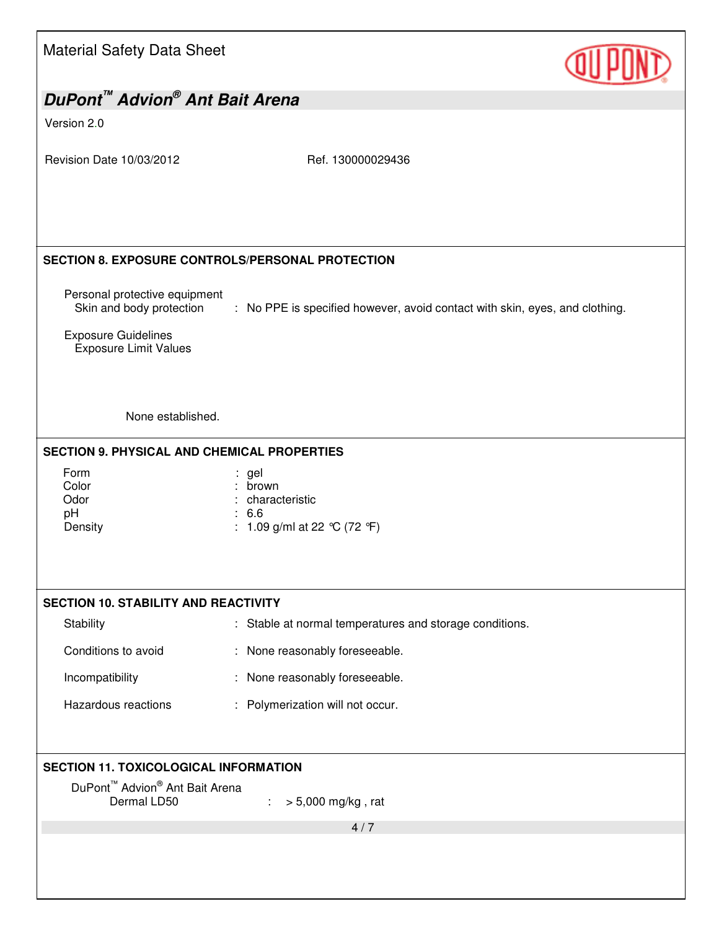| <b>Material Safety Data Sheet</b>                                                                                                                                            |                                                                             |  |
|------------------------------------------------------------------------------------------------------------------------------------------------------------------------------|-----------------------------------------------------------------------------|--|
| DuPont <sup>™</sup> Advion <sup>®</sup> Ant Bait Arena                                                                                                                       |                                                                             |  |
| Version 2.0                                                                                                                                                                  |                                                                             |  |
| Revision Date 10/03/2012                                                                                                                                                     | Ref. 130000029436                                                           |  |
| SECTION 8. EXPOSURE CONTROLS/PERSONAL PROTECTION                                                                                                                             |                                                                             |  |
| Personal protective equipment<br>Skin and body protection<br><b>Exposure Guidelines</b>                                                                                      | : No PPE is specified however, avoid contact with skin, eyes, and clothing. |  |
| <b>Exposure Limit Values</b>                                                                                                                                                 |                                                                             |  |
| None established.                                                                                                                                                            |                                                                             |  |
| <b>SECTION 9. PHYSICAL AND CHEMICAL PROPERTIES</b>                                                                                                                           |                                                                             |  |
| Form<br>Color<br>Odor<br>pH<br>Density                                                                                                                                       | : gel<br>brown<br>: characteristic<br>: 6.6<br>: 1.09 g/ml at 22 °C (72 °F) |  |
| <b>SECTION 10. STABILITY AND REACTIVITY</b>                                                                                                                                  |                                                                             |  |
| Stability                                                                                                                                                                    | : Stable at normal temperatures and storage conditions.                     |  |
| Conditions to avoid                                                                                                                                                          | : None reasonably foreseeable.                                              |  |
| Incompatibility                                                                                                                                                              | : None reasonably foreseeable.                                              |  |
| Hazardous reactions                                                                                                                                                          | : Polymerization will not occur.                                            |  |
|                                                                                                                                                                              |                                                                             |  |
| <b>SECTION 11. TOXICOLOGICAL INFORMATION</b><br>DuPont <sup>™</sup> Advion <sup>®</sup> Ant Bait Arena<br>Dermal LD50<br>$> 5,000$ mg/kg, rat<br>$\mathcal{L}_{\mathcal{A}}$ |                                                                             |  |
|                                                                                                                                                                              | 4/7                                                                         |  |
|                                                                                                                                                                              |                                                                             |  |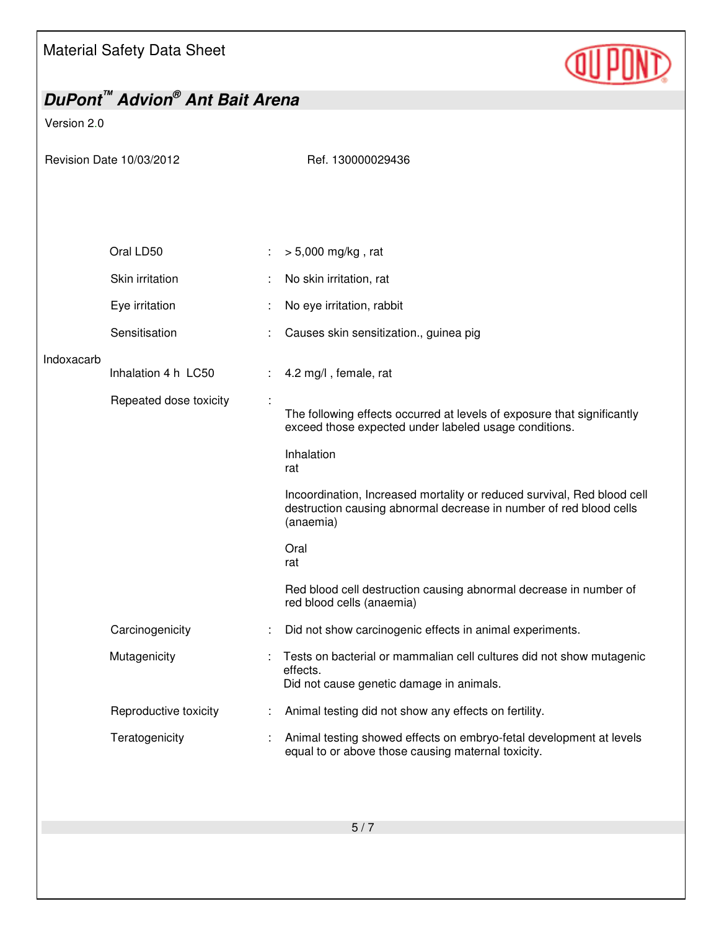Material Safety Data Sheet

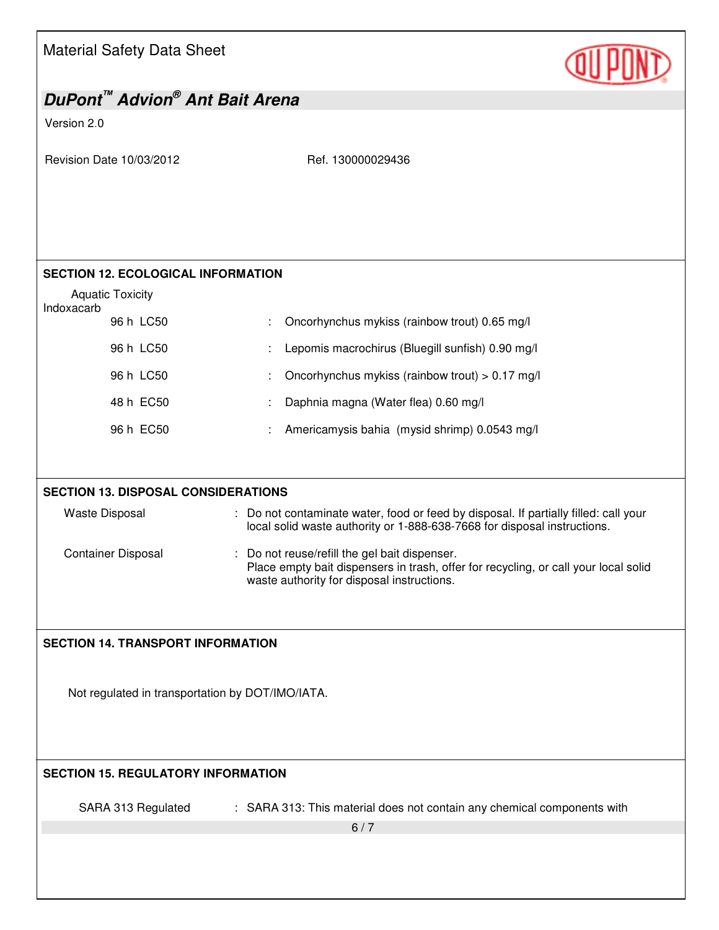| <b>Material Safety Data Sheet</b>                      |                                                                                                                                                                                    |
|--------------------------------------------------------|------------------------------------------------------------------------------------------------------------------------------------------------------------------------------------|
| DuPont <sup>™</sup> Advion <sup>®</sup> Ant Bait Arena |                                                                                                                                                                                    |
| Version 2.0                                            |                                                                                                                                                                                    |
| Revision Date 10/03/2012                               | Ref. 130000029436                                                                                                                                                                  |
| <b>SECTION 12. ECOLOGICAL INFORMATION</b>              |                                                                                                                                                                                    |
| <b>Aquatic Toxicity</b>                                |                                                                                                                                                                                    |
| Indoxacarb<br>96 h LC50                                | Oncorhynchus mykiss (rainbow trout) 0.65 mg/l                                                                                                                                      |
| 96 h LC50                                              | Lepomis macrochirus (Bluegill sunfish) 0.90 mg/l                                                                                                                                   |
| 96 h LC50                                              | Oncorhynchus mykiss (rainbow trout) > 0.17 mg/l                                                                                                                                    |
| 48 h EC50                                              | Daphnia magna (Water flea) 0.60 mg/l                                                                                                                                               |
| 96 h EC50                                              | Americamysis bahia (mysid shrimp) 0.0543 mg/l                                                                                                                                      |
|                                                        |                                                                                                                                                                                    |
| <b>SECTION 13. DISPOSAL CONSIDERATIONS</b>             |                                                                                                                                                                                    |
| <b>Waste Disposal</b>                                  | : Do not contaminate water, food or feed by disposal. If partially filled: call your<br>local solid waste authority or 1-888-638-7668 for disposal instructions.                   |
| <b>Container Disposal</b>                              | : Do not reuse/refill the gel bait dispenser.<br>Place empty bait dispensers in trash, offer for recycling, or call your local solid<br>waste authority for disposal instructions. |
| <b>SECTION 14. TRANSPORT INFORMATION</b>               |                                                                                                                                                                                    |
| Not regulated in transportation by DOT/IMO/IATA.       |                                                                                                                                                                                    |
| <b>SECTION 15. REGULATORY INFORMATION</b>              |                                                                                                                                                                                    |
| SARA 313 Regulated                                     | : SARA 313: This material does not contain any chemical components with                                                                                                            |
|                                                        | 6/7                                                                                                                                                                                |
|                                                        |                                                                                                                                                                                    |